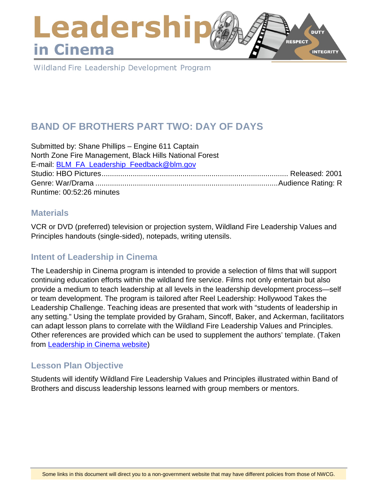## Leadershi **DUTY RESPECT** in Cinema **INTEGRITY**

Wildland Fire Leadership Development Program

# **BAND OF BROTHERS PART TWO: DAY OF DAYS**

Submitted by: Shane Phillips – Engine 611 Captain North Zone Fire Management, Black Hills National Forest E-mail: [BLM\\_FA\\_Leadership\\_Feedback@blm.gov](mailto:BLM_FA_Leadership_Feedback@blm.gov) Studio: HBO Pictures.......................................................................................... Released: 2001 Genre: War/Drama ........................................................................................Audience Rating: R Runtime: 00:52:26 minutes

### **Materials**

VCR or DVD (preferred) television or projection system, Wildland Fire Leadership Values and Principles handouts (single-sided), notepads, writing utensils.

## **Intent of Leadership in Cinema**

The Leadership in Cinema program is intended to provide a selection of films that will support continuing education efforts within the wildland fire service. Films not only entertain but also provide a medium to teach leadership at all levels in the leadership development process—self or team development. The program is tailored after Reel Leadership: Hollywood Takes the Leadership Challenge. Teaching ideas are presented that work with "students of leadership in any setting." Using the template provided by Graham, Sincoff, Baker, and Ackerman, facilitators can adapt lesson plans to correlate with the Wildland Fire Leadership Values and Principles. Other references are provided which can be used to supplement the authors' template. (Taken from [Leadership in Cinema website\)](https://www.fireleadership.gov/)

### **Lesson Plan Objective**

Students will identify Wildland Fire Leadership Values and Principles illustrated within Band of Brothers and discuss leadership lessons learned with group members or mentors.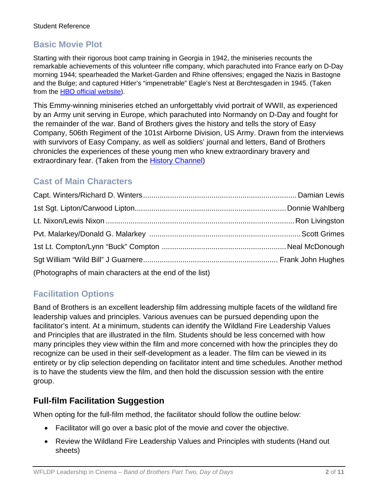## **Basic Movie Plot**

Starting with their rigorous boot camp training in Georgia in 1942, the miniseries recounts the remarkable achievements of this volunteer rifle company, which parachuted into France early on D-Day morning 1944; spearheaded the Market-Garden and Rhine offensives; engaged the Nazis in Bastogne and the Bulge; and captured Hitler's "impenetrable" Eagle's Nest at Berchtesgaden in 1945. (Taken from the **HBO** official website).

This Emmy-winning miniseries etched an unforgettably vivid portrait of WWII, as experienced by an Army unit serving in Europe, which parachuted into Normandy on D-Day and fought for the remainder of the war. Band of Brothers gives the history and tells the story of Easy Company, 506th Regiment of the 101st Airborne Division, US Army. Drawn from the interviews with survivors of Easy Company, as well as soldiers' journal and letters, Band of Brothers chronicles the experiences of these young men who knew extraordinary bravery and extraordinary fear. (Taken from the [History Channel\)](http://www.history.com/topics/d-day)

## **Cast of Main Characters**

| (Photographs of main characters at the end of the list) |  |
|---------------------------------------------------------|--|

## **Facilitation Options**

Band of Brothers is an excellent leadership film addressing multiple facets of the wildland fire leadership values and principles. Various avenues can be pursued depending upon the facilitator's intent. At a minimum, students can identify the Wildland Fire Leadership Values and Principles that are illustrated in the film. Students should be less concerned with how many principles they view within the film and more concerned with how the principles they do recognize can be used in their self-development as a leader. The film can be viewed in its entirety or by clip selection depending on facilitator intent and time schedules. Another method is to have the students view the film, and then hold the discussion session with the entire group.

## **Full-film Facilitation Suggestion**

When opting for the full-film method, the facilitator should follow the outline below:

- Facilitator will go over a basic plot of the movie and cover the objective.
- Review the Wildland Fire Leadership Values and Principles with students (Hand out sheets)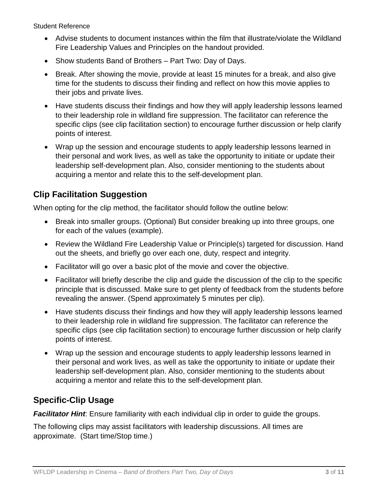- Advise students to document instances within the film that illustrate/violate the Wildland Fire Leadership Values and Principles on the handout provided.
- Show students Band of Brothers Part Two: Day of Days.
- Break. After showing the movie, provide at least 15 minutes for a break, and also give time for the students to discuss their finding and reflect on how this movie applies to their jobs and private lives.
- Have students discuss their findings and how they will apply leadership lessons learned to their leadership role in wildland fire suppression. The facilitator can reference the specific clips (see clip facilitation section) to encourage further discussion or help clarify points of interest.
- Wrap up the session and encourage students to apply leadership lessons learned in their personal and work lives, as well as take the opportunity to initiate or update their leadership self-development plan. Also, consider mentioning to the students about acquiring a mentor and relate this to the self-development plan.

## **Clip Facilitation Suggestion**

When opting for the clip method, the facilitator should follow the outline below:

- Break into smaller groups. (Optional) But consider breaking up into three groups, one for each of the values (example).
- Review the Wildland Fire Leadership Value or Principle(s) targeted for discussion. Hand out the sheets, and briefly go over each one, duty, respect and integrity.
- Facilitator will go over a basic plot of the movie and cover the objective.
- Facilitator will briefly describe the clip and guide the discussion of the clip to the specific principle that is discussed. Make sure to get plenty of feedback from the students before revealing the answer. (Spend approximately 5 minutes per clip).
- Have students discuss their findings and how they will apply leadership lessons learned to their leadership role in wildland fire suppression. The facilitator can reference the specific clips (see clip facilitation section) to encourage further discussion or help clarify points of interest.
- Wrap up the session and encourage students to apply leadership lessons learned in their personal and work lives, as well as take the opportunity to initiate or update their leadership self-development plan. Also, consider mentioning to the students about acquiring a mentor and relate this to the self-development plan.

## **Specific-Clip Usage**

**Facilitator Hint**: Ensure familiarity with each individual clip in order to guide the groups.

The following clips may assist facilitators with leadership discussions. All times are approximate. (Start time/Stop time.)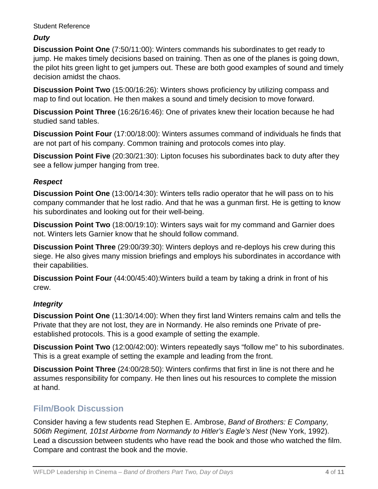### *Duty*

**Discussion Point One** (7:50/11:00): Winters commands his subordinates to get ready to jump. He makes timely decisions based on training. Then as one of the planes is going down, the pilot hits green light to get jumpers out. These are both good examples of sound and timely decision amidst the chaos.

**Discussion Point Two** (15:00/16:26): Winters shows proficiency by utilizing compass and map to find out location. He then makes a sound and timely decision to move forward.

**Discussion Point Three** (16:26/16:46): One of privates knew their location because he had studied sand tables.

**Discussion Point Four** (17:00/18:00): Winters assumes command of individuals he finds that are not part of his company. Common training and protocols comes into play.

**Discussion Point Five** (20:30/21:30): Lipton focuses his subordinates back to duty after they see a fellow jumper hanging from tree.

### *Respect*

**Discussion Point One** (13:00/14:30): Winters tells radio operator that he will pass on to his company commander that he lost radio. And that he was a gunman first. He is getting to know his subordinates and looking out for their well-being.

**Discussion Point Two** (18:00/19:10): Winters says wait for my command and Garnier does not. Winters lets Garnier know that he should follow command.

**Discussion Point Three** (29:00/39:30): Winters deploys and re-deploys his crew during this siege. He also gives many mission briefings and employs his subordinates in accordance with their capabilities.

**Discussion Point Four** (44:00/45:40):Winters build a team by taking a drink in front of his crew.

### *Integrity*

**Discussion Point One** (11:30/14:00): When they first land Winters remains calm and tells the Private that they are not lost, they are in Normandy. He also reminds one Private of preestablished protocols. This is a good example of setting the example.

**Discussion Point Two** (12:00/42:00): Winters repeatedly says "follow me" to his subordinates. This is a great example of setting the example and leading from the front.

**Discussion Point Three** (24:00/28:50): Winters confirms that first in line is not there and he assumes responsibility for company. He then lines out his resources to complete the mission at hand.

## **Film/Book Discussion**

Consider having a few students read Stephen E. Ambrose, *Band of Brothers: E Company, 506th Regiment, 101st Airborne from Normandy to Hitler's Eagle's Nest* (New York, 1992). Lead a discussion between students who have read the book and those who watched the film. Compare and contrast the book and the movie.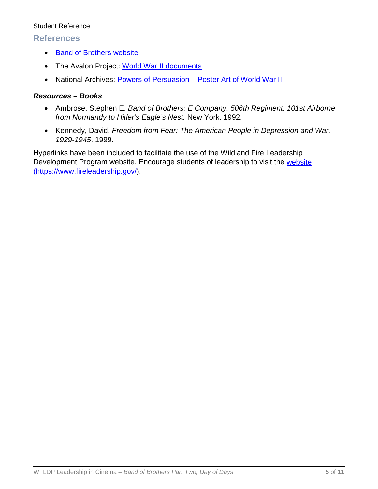### **References**

- [Band of Brothers website](http://www.hbo.com/band/landing/currahee.html)
- The Avalon Project: [World War II documents](http://avalon.law.yale.edu/subject_menus/wwii.asp)
- National Archives: [Powers of Persuasion Poster Art of World War II](https://www.archives.gov/education/lessons/wwii-posters)

### *Resources – Books*

- Ambrose, Stephen E. *Band of Brothers: E Company, 506th Regiment, 101st Airborne from Normandy to Hitler's Eagle's Nest.* New York. 1992.
- Kennedy, David. *Freedom from Fear: The American People in Depression and War, 1929-1945*. 1999.

Hyperlinks have been included to facilitate the use of the Wildland Fire Leadership Development Program website. Encourage students of leadership to visit the website [\(https://www.fireleadership.gov/\)](https://www.fireleadership.gov/).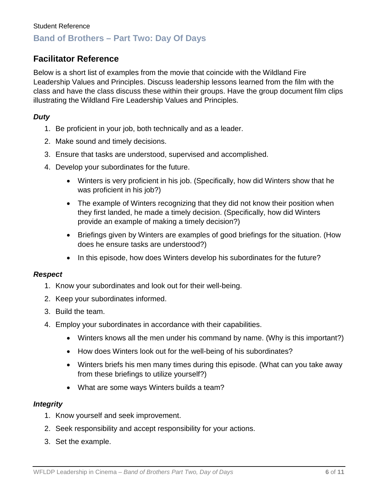## **Facilitator Reference**

Below is a short list of examples from the movie that coincide with the Wildland Fire Leadership Values and Principles. Discuss leadership lessons learned from the film with the class and have the class discuss these within their groups. Have the group document film clips illustrating the Wildland Fire Leadership Values and Principles.

### *Duty*

- 1. Be proficient in your job, both technically and as a leader.
- 2. Make sound and timely decisions.
- 3. Ensure that tasks are understood, supervised and accomplished.
- 4. Develop your subordinates for the future.
	- Winters is very proficient in his job. (Specifically, how did Winters show that he was proficient in his job?)
	- The example of Winters recognizing that they did not know their position when they first landed, he made a timely decision. (Specifically, how did Winters provide an example of making a timely decision?)
	- Briefings given by Winters are examples of good briefings for the situation. (How does he ensure tasks are understood?)
	- In this episode, how does Winters develop his subordinates for the future?

#### *Respect*

- 1. Know your subordinates and look out for their well-being.
- 2. Keep your subordinates informed.
- 3. Build the team.
- 4. Employ your subordinates in accordance with their capabilities.
	- Winters knows all the men under his command by name. (Why is this important?)
	- How does Winters look out for the well-being of his subordinates?
	- Winters briefs his men many times during this episode. (What can you take away from these briefings to utilize yourself?)
	- What are some ways Winters builds a team?

#### *Integrity*

- 1. Know yourself and seek improvement.
- 2. Seek responsibility and accept responsibility for your actions.
- 3. Set the example.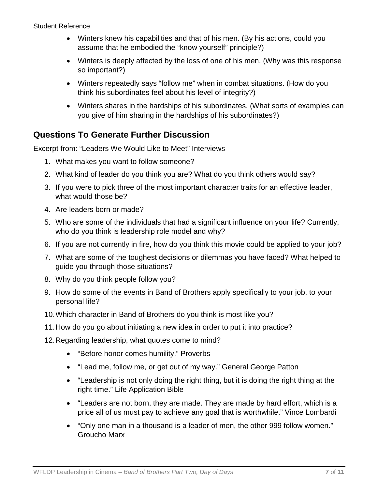- Winters knew his capabilities and that of his men. (By his actions, could you assume that he embodied the "know yourself" principle?)
- Winters is deeply affected by the loss of one of his men. (Why was this response so important?)
- Winters repeatedly says "follow me" when in combat situations. (How do you think his subordinates feel about his level of integrity?)
- Winters shares in the hardships of his subordinates. (What sorts of examples can you give of him sharing in the hardships of his subordinates?)

## **Questions To Generate Further Discussion**

Excerpt from: "Leaders We Would Like to Meet" Interviews

- 1. What makes you want to follow someone?
- 2. What kind of leader do you think you are? What do you think others would say?
- 3. If you were to pick three of the most important character traits for an effective leader, what would those be?
- 4. Are leaders born or made?
- 5. Who are some of the individuals that had a significant influence on your life? Currently, who do you think is leadership role model and why?
- 6. If you are not currently in fire, how do you think this movie could be applied to your job?
- 7. What are some of the toughest decisions or dilemmas you have faced? What helped to guide you through those situations?
- 8. Why do you think people follow you?
- 9. How do some of the events in Band of Brothers apply specifically to your job, to your personal life?
- 10.Which character in Band of Brothers do you think is most like you?
- 11.How do you go about initiating a new idea in order to put it into practice?
- 12.Regarding leadership, what quotes come to mind?
	- "Before honor comes humility." Proverbs
	- "Lead me, follow me, or get out of my way." General George Patton
	- "Leadership is not only doing the right thing, but it is doing the right thing at the right time." Life Application Bible
	- "Leaders are not born, they are made. They are made by hard effort, which is a price all of us must pay to achieve any goal that is worthwhile." Vince Lombardi
	- "Only one man in a thousand is a leader of men, the other 999 follow women." Groucho Marx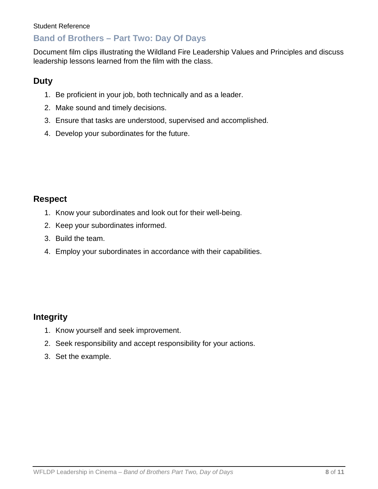## **Band of Brothers – Part Two: Day Of Days**

Document film clips illustrating the Wildland Fire Leadership Values and Principles and discuss leadership lessons learned from the film with the class.

## **Duty**

- 1. Be proficient in your job, both technically and as a leader.
- 2. Make sound and timely decisions.
- 3. Ensure that tasks are understood, supervised and accomplished.
- 4. Develop your subordinates for the future.

### **Respect**

- 1. Know your subordinates and look out for their well-being.
- 2. Keep your subordinates informed.
- 3. Build the team.
- 4. Employ your subordinates in accordance with their capabilities.

### **Integrity**

- 1. Know yourself and seek improvement.
- 2. Seek responsibility and accept responsibility for your actions.
- 3. Set the example.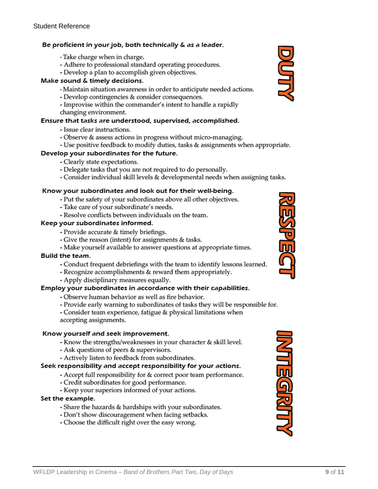#### Be proficient in your job, both technically & as a leader.

- Take charge when in charge.
- Adhere to professional standard operating procedures.
- Develop a plan to accomplish given objectives.

#### Make sound & timely decisions.

- Maintain situation awareness in order to anticipate needed actions.
- Develop contingencies & consider consequences.
- Improvise within the commander's intent to handle a rapidly
- changing environment.

#### Ensure that tasks are understood, supervised, accomplished.

- Issue clear instructions.
- Observe & assess actions in progress without micro-managing.
- Use positive feedback to modify duties, tasks & assignments when appropriate.

#### Develop your subordinates for the future.

- Clearly state expectations.
- Delegate tasks that you are not required to do personally.
- Consider individual skill levels & developmental needs when assigning tasks.

#### Know your subordinates and look out for their well-being.

- Put the safety of your subordinates above all other objectives.
- Take care of your subordinate's needs.
- Resolve conflicts between individuals on the team.

#### Keep your subordinates informed.

- Provide accurate & timely briefings.
- Give the reason (intent) for assignments & tasks.
- Make yourself available to answer questions at appropriate times.

#### **Build the team.**

- Conduct frequent debriefings with the team to identify lessons learned.
- Recognize accomplishments & reward them appropriately.
- Apply disciplinary measures equally.

#### Employ your subordinates in accordance with their capabilities.

- Observe human behavior as well as fire behavior.
- Provide early warning to subordinates of tasks they will be responsible for.
- Consider team experience, fatigue & physical limitations when
- accepting assignments.

#### Know yourself and seek improvement.

- Know the strengths/weaknesses in your character & skill level.
- Ask questions of peers & supervisors.
- Actively listen to feedback from subordinates.

#### Seek responsibility and accept responsibility for your actions.

- Accept full responsibility for & correct poor team performance.
- Credit subordinates for good performance.
- Keep your superiors informed of your actions.

#### Set the example.

- Share the hazards & hardships with your subordinates.
- Don't show discouragement when facing setbacks.
- Choose the difficult right over the easy wrong.





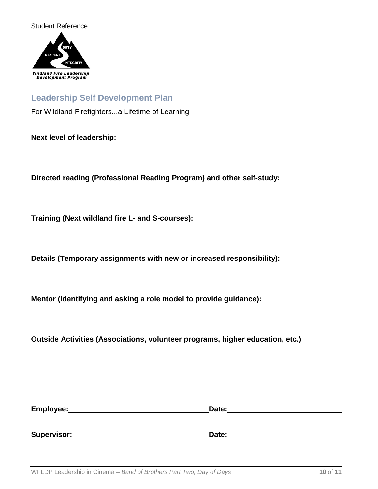



### **Leadership Self Development Plan**

For Wildland Firefighters...a Lifetime of Learning

**Next level of leadership:**

**Directed reading (Professional Reading Program) and other self-study:**

**Training (Next wildland fire L- and S-courses):**

**Details (Temporary assignments with new or increased responsibility):**

**Mentor (Identifying and asking a role model to provide guidance):**

**Outside Activities (Associations, volunteer programs, higher education, etc.)**

| Employee: | Date: |
|-----------|-------|
|           |       |
|           |       |

**Supervisor: Date: Date: Date: Date: Date: Date: Date: Date: Date: Date: Date: Date: Date: Date: Date: Date: Date: Date: Date: Date: Date: Date: Date: Date: Date: Date:**